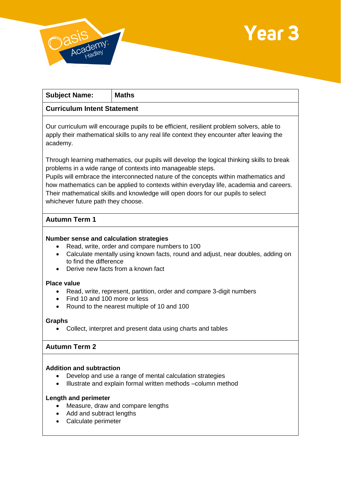



| <b>Subject Name:</b>                                                                                                                                                                                                                                                                                                                                                                                                                                                  | <b>Maths</b>                                                                                                                                                                          |
|-----------------------------------------------------------------------------------------------------------------------------------------------------------------------------------------------------------------------------------------------------------------------------------------------------------------------------------------------------------------------------------------------------------------------------------------------------------------------|---------------------------------------------------------------------------------------------------------------------------------------------------------------------------------------|
| <b>Curriculum Intent Statement</b>                                                                                                                                                                                                                                                                                                                                                                                                                                    |                                                                                                                                                                                       |
| academy.                                                                                                                                                                                                                                                                                                                                                                                                                                                              | Our curriculum will encourage pupils to be efficient, resilient problem solvers, able to<br>apply their mathematical skills to any real life context they encounter after leaving the |
| Through learning mathematics, our pupils will develop the logical thinking skills to break<br>problems in a wide range of contexts into manageable steps.<br>Pupils will embrace the interconnected nature of the concepts within mathematics and<br>how mathematics can be applied to contexts within everyday life, academia and careers.<br>Their mathematical skills and knowledge will open doors for our pupils to select<br>whichever future path they choose. |                                                                                                                                                                                       |

# **Autumn Term 1**

### **Number sense and calculation strategies**

- Read, write, order and compare numbers to 100
- Calculate mentally using known facts, round and adjust, near doubles, adding on to find the difference
- Derive new facts from a known fact

#### **Place value**

- Read, write, represent, partition, order and compare 3-digit numbers
- Find 10 and 100 more or less
- Round to the nearest multiple of 10 and 100

#### **Graphs**

Collect, interpret and present data using charts and tables

# **Autumn Term 2**

#### **Addition and subtraction**

- Develop and use a range of mental calculation strategies
- Illustrate and explain formal written methods –column method

### **Length and perimeter**

- Measure, draw and compare lengths
- Add and subtract lengths
- Calculate perimeter